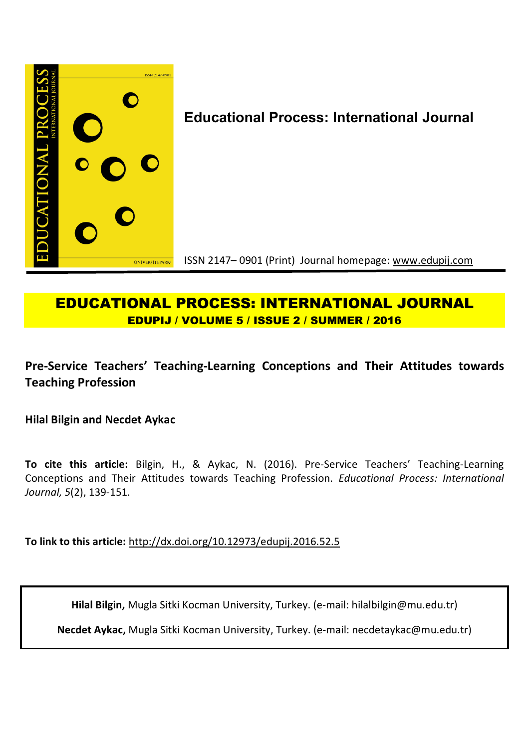

# **EDUCATIONAL PROCESS: INTERNATIONAL JOURNAL EDUPIJ / VOLUME 5 / ISSUE 2 / SUMMER / 2016**

## **Pre-Service Teachers' Teaching-Learning Conceptions and Their Attitudes towards Teaching Profession**

**Hilal Bilgin and Necdet Aykac** 

**To cite this article:** Bilgin, H., & Aykac, N. (2016). Pre-Service Teachers' Teaching-Learning Conceptions and Their Attitudes towards Teaching Profession. *Educational Process: International Journal, 5*(2), 139-151.

**To link to this article:** http://dx.doi.org/10.12973/edupij.2016.52.5

**Hilal Bilgin,** Mugla Sitki Kocman University, Turkey. (e-mail: hilalbilgin@mu.edu.tr)

**Necdet Aykac,** Mugla Sitki Kocman University, Turkey. (e-mail: necdetaykac@mu.edu.tr)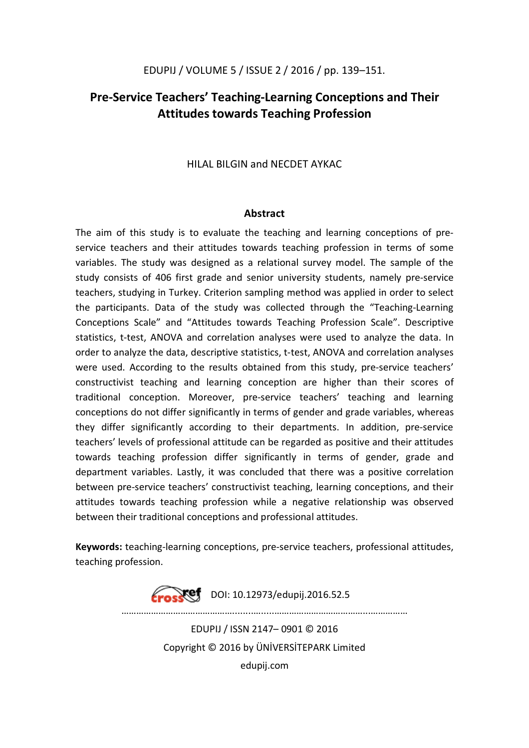## **Pre-Service Teachers' Teaching-Learning Conceptions and Their Attitudes towards Teaching Profession**

HILAL BILGIN and NECDET AYKAC

### **Abstract**

The aim of this study is to evaluate the teaching and learning conceptions of preservice teachers and their attitudes towards teaching profession in terms of some variables. The study was designed as a relational survey model. The sample of the study consists of 406 first grade and senior university students, namely pre-service teachers, studying in Turkey. Criterion sampling method was applied in order to select the participants. Data of the study was collected through the "Teaching-Learning Conceptions Scale" and "Attitudes towards Teaching Profession Scale". Descriptive statistics, t-test, ANOVA and correlation analyses were used to analyze the data. In order to analyze the data, descriptive statistics, t-test, ANOVA and correlation analyses were used. According to the results obtained from this study, pre-service teachers' constructivist teaching and learning conception are higher than their scores of traditional conception. Moreover, pre-service teachers' teaching and learning conceptions do not differ significantly in terms of gender and grade variables, whereas they differ significantly according to their departments. In addition, pre-service teachers' levels of professional attitude can be regarded as positive and their attitudes towards teaching profession differ significantly in terms of gender, grade and department variables. Lastly, it was concluded that there was a positive correlation between pre-service teachers' constructivist teaching, learning conceptions, and their attitudes towards teaching profession while a negative relationship was observed between their traditional conceptions and professional attitudes.

**Keywords:** teaching-learning conceptions, pre-service teachers, professional attitudes, teaching profession.

> **Erosset** DOI: 10.12973/edupij.2016.52.5 ………………………………………........….....………………………………...…………… EDUPIJ / ISSN 2147– 0901 © 2016 Copyright © 2016 by ÜNİVERSİTEPARK Limited edupij.com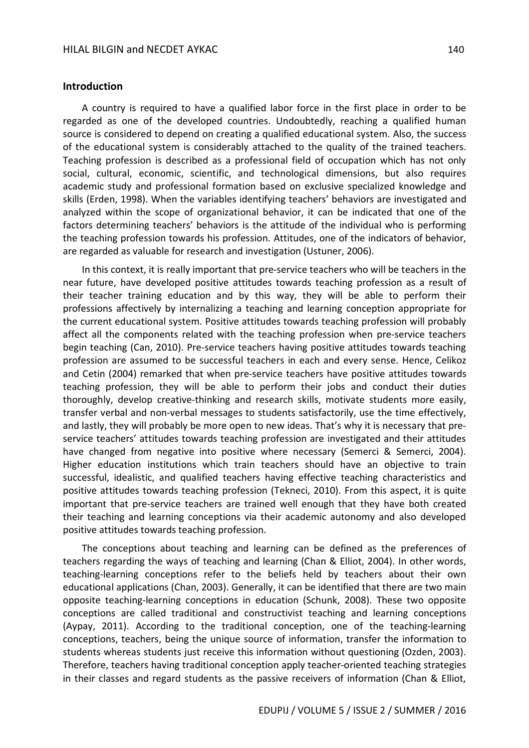#### **Introduction**

A country is required to have a qualified labor force in the first place in order to be regarded as one of the developed countries. Undoubtedly, reaching a qualified human source is considered to depend on creating a qualified educational system. Also, the success of the educational system is considerably attached to the quality of the trained teachers. Teaching profession is described as a professional field of occupation which has not only social, cultural, economic, scientific, and technological dimensions, but also requires academic study and professional formation based on exclusive specialized knowledge and skills (Erden, 1998). When the variables identifying teachers' behaviors are investigated and analyzed within the scope of organizational behavior, it can be indicated that one of the factors determining teachers' behaviors is the attitude of the individual who is performing the teaching profession towards his profession. Attitudes, one of the indicators of behavior, are regarded as valuable for research and investigation (Ustuner, 2006).

In this context, it is really important that pre-service teachers who will be teachers in the near future, have developed positive attitudes towards teaching profession as a result of their teacher training education and by this way, they will be able to perform their professions affectively by internalizing a teaching and learning conception appropriate for the current educational system. Positive attitudes towards teaching profession will probably affect all the components related with the teaching profession when pre-service teachers begin teaching (Can, 2010). Pre-service teachers having positive attitudes towards teaching profession are assumed to be successful teachers in each and every sense. Hence, Celikoz and Cetin (2004) remarked that when pre-service teachers have positive attitudes towards teaching profession, they will be able to perform their jobs and conduct their duties thoroughly, develop creative-thinking and research skills, motivate students more easily, transfer verbal and non-verbal messages to students satisfactorily, use the time effectively, and lastly, they will probably be more open to new ideas. That's why it is necessary that preservice teachers' attitudes towards teaching profession are investigated and their attitudes have changed from negative into positive where necessary (Semerci & Semerci, 2004). Higher education institutions which train teachers should have an objective to train successful, idealistic, and qualified teachers having effective teaching characteristics and positive attitudes towards teaching profession (Tekneci, 2010). From this aspect, it is quite important that pre-service teachers are trained well enough that they have both created their teaching and learning conceptions via their academic autonomy and also developed positive attitudes towards teaching profession.

The conceptions about teaching and learning can be defined as the preferences of teachers regarding the ways of teaching and learning (Chan & Elliot, 2004). In other words, teaching-learning conceptions refer to the beliefs held by teachers about their own educational applications (Chan, 2003). Generally, it can be identified that there are two main opposite teaching-learning conceptions in education (Schunk, 2008). These two opposite conceptions are called traditional and constructivist teaching and learning conceptions (Aypay, 2011). According to the traditional conception, one of the teaching-learning conceptions, teachers, being the unique source of information, transfer the information to students whereas students just receive this information without questioning (Ozden, 2003). Therefore, teachers having traditional conception apply teacher-oriented teaching strategies in their classes and regard students as the passive receivers of information (Chan & Elliot,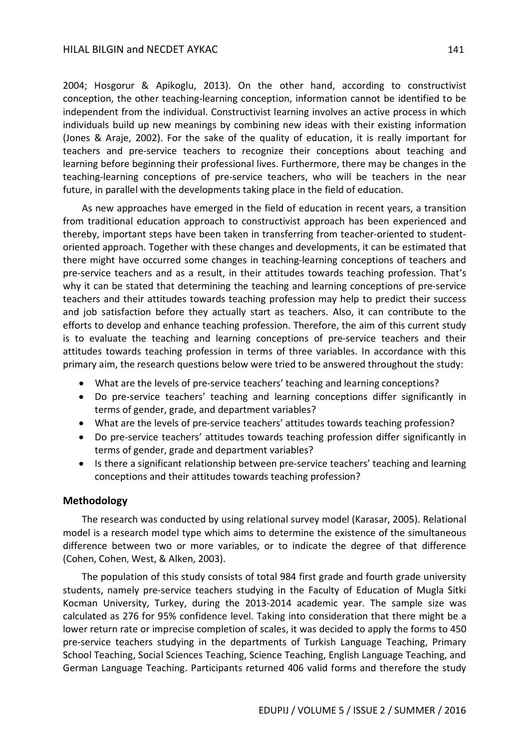#### HILAL BILGIN and NECDET AYKAC 141 141

2004; Hosgorur & Apikoglu, 2013). On the other hand, according to constructivist conception, the other teaching-learning conception, information cannot be identified to be independent from the individual. Constructivist learning involves an active process in which individuals build up new meanings by combining new ideas with their existing information (Jones & Araje, 2002). For the sake of the quality of education, it is really important for teachers and pre-service teachers to recognize their conceptions about teaching and learning before beginning their professional lives. Furthermore, there may be changes in the teaching-learning conceptions of pre-service teachers, who will be teachers in the near future, in parallel with the developments taking place in the field of education.

As new approaches have emerged in the field of education in recent years, a transition from traditional education approach to constructivist approach has been experienced and thereby, important steps have been taken in transferring from teacher-oriented to studentoriented approach. Together with these changes and developments, it can be estimated that there might have occurred some changes in teaching-learning conceptions of teachers and pre-service teachers and as a result, in their attitudes towards teaching profession. That's why it can be stated that determining the teaching and learning conceptions of pre-service teachers and their attitudes towards teaching profession may help to predict their success and job satisfaction before they actually start as teachers. Also, it can contribute to the efforts to develop and enhance teaching profession. Therefore, the aim of this current study is to evaluate the teaching and learning conceptions of pre-service teachers and their attitudes towards teaching profession in terms of three variables. In accordance with this primary aim, the research questions below were tried to be answered throughout the study:

- What are the levels of pre-service teachers' teaching and learning conceptions?
- Do pre-service teachers' teaching and learning conceptions differ significantly in terms of gender, grade, and department variables?
- What are the levels of pre-service teachers' attitudes towards teaching profession?
- Do pre-service teachers' attitudes towards teaching profession differ significantly in terms of gender, grade and department variables?
- Is there a significant relationship between pre-service teachers' teaching and learning conceptions and their attitudes towards teaching profession?

### **Methodology**

The research was conducted by using relational survey model (Karasar, 2005). Relational model is a research model type which aims to determine the existence of the simultaneous difference between two or more variables, or to indicate the degree of that difference (Cohen, Cohen, West, & Alken, 2003).

The population of this study consists of total 984 first grade and fourth grade university students, namely pre-service teachers studying in the Faculty of Education of Mugla Sitki Kocman University, Turkey, during the 2013-2014 academic year. The sample size was calculated as 276 for 95% confidence level. Taking into consideration that there might be a lower return rate or imprecise completion of scales, it was decided to apply the forms to 450 pre-service teachers studying in the departments of Turkish Language Teaching, Primary School Teaching, Social Sciences Teaching, Science Teaching, English Language Teaching, and German Language Teaching. Participants returned 406 valid forms and therefore the study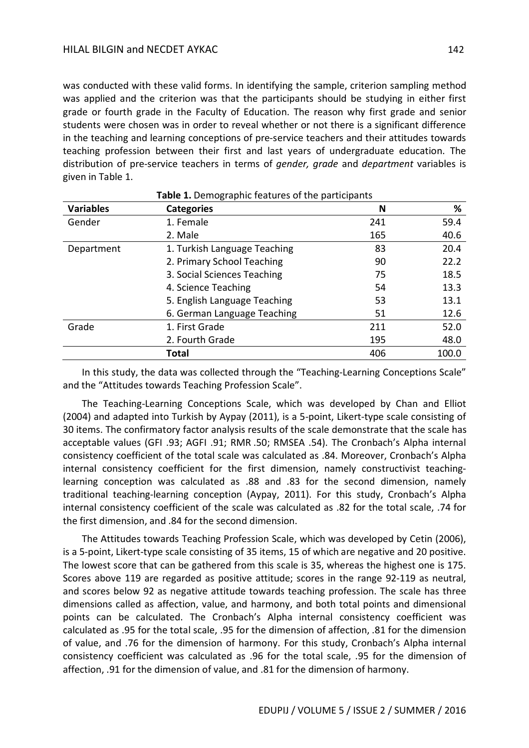was conducted with these valid forms. In identifying the sample, criterion sampling method was applied and the criterion was that the participants should be studying in either first grade or fourth grade in the Faculty of Education. The reason why first grade and senior students were chosen was in order to reveal whether or not there is a significant difference in the teaching and learning conceptions of pre-service teachers and their attitudes towards teaching profession between their first and last years of undergraduate education. The distribution of pre-service teachers in terms of *gender, grade* and *department* variables is given in Table 1.

|                  | Table 1. Demographic features of the participants |     |       |  |  |  |  |
|------------------|---------------------------------------------------|-----|-------|--|--|--|--|
| <b>Variables</b> | <b>Categories</b>                                 | N   | %     |  |  |  |  |
| Gender           | 1. Female                                         | 241 | 59.4  |  |  |  |  |
|                  | 2. Male                                           | 165 | 40.6  |  |  |  |  |
| Department       | 1. Turkish Language Teaching                      | 83  | 20.4  |  |  |  |  |
|                  | 2. Primary School Teaching                        | 90  | 22.2  |  |  |  |  |
|                  | 3. Social Sciences Teaching                       |     | 18.5  |  |  |  |  |
|                  | 4. Science Teaching                               |     | 13.3  |  |  |  |  |
|                  | 5. English Language Teaching                      | 53  | 13.1  |  |  |  |  |
|                  | 6. German Language Teaching                       | 51  | 12.6  |  |  |  |  |
| Grade            | 1. First Grade                                    | 211 | 52.0  |  |  |  |  |
|                  | 2. Fourth Grade                                   | 195 | 48.0  |  |  |  |  |
|                  | Total                                             | 406 | 100.0 |  |  |  |  |

In this study, the data was collected through the "Teaching-Learning Conceptions Scale" and the "Attitudes towards Teaching Profession Scale".

The Teaching-Learning Conceptions Scale, which was developed by Chan and Elliot (2004) and adapted into Turkish by Aypay (2011), is a 5-point, Likert-type scale consisting of 30 items. The confirmatory factor analysis results of the scale demonstrate that the scale has acceptable values (GFI .93; AGFI .91; RMR .50; RMSEA .54). The Cronbach's Alpha internal consistency coefficient of the total scale was calculated as .84. Moreover, Cronbach's Alpha internal consistency coefficient for the first dimension, namely constructivist teachinglearning conception was calculated as .88 and .83 for the second dimension, namely traditional teaching-learning conception (Aypay, 2011). For this study, Cronbach's Alpha internal consistency coefficient of the scale was calculated as .82 for the total scale, .74 for the first dimension, and .84 for the second dimension.

The Attitudes towards Teaching Profession Scale, which was developed by Cetin (2006), is a 5-point, Likert-type scale consisting of 35 items, 15 of which are negative and 20 positive. The lowest score that can be gathered from this scale is 35, whereas the highest one is 175. Scores above 119 are regarded as positive attitude; scores in the range 92-119 as neutral, and scores below 92 as negative attitude towards teaching profession. The scale has three dimensions called as affection, value, and harmony, and both total points and dimensional points can be calculated. The Cronbach's Alpha internal consistency coefficient was calculated as .95 for the total scale, .95 for the dimension of affection, .81 for the dimension of value, and .76 for the dimension of harmony. For this study, Cronbach's Alpha internal consistency coefficient was calculated as .96 for the total scale, .95 for the dimension of affection, .91 for the dimension of value, and .81 for the dimension of harmony.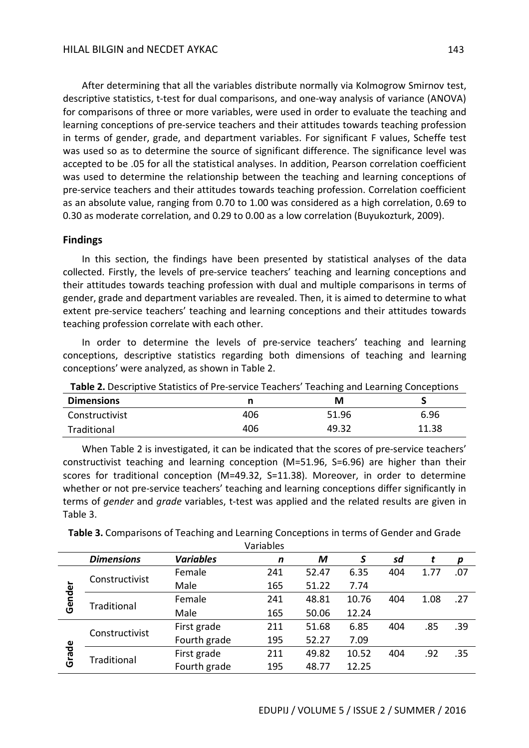After determining that all the variables distribute normally via Kolmogrow Smirnov test, descriptive statistics, t-test for dual comparisons, and one-way analysis of variance (ANOVA) for comparisons of three or more variables, were used in order to evaluate the teaching and learning conceptions of pre-service teachers and their attitudes towards teaching profession in terms of gender, grade, and department variables. For significant F values, Scheffe test was used so as to determine the source of significant difference. The significance level was accepted to be .05 for all the statistical analyses. In addition, Pearson correlation coefficient was used to determine the relationship between the teaching and learning conceptions of pre-service teachers and their attitudes towards teaching profession. Correlation coefficient as an absolute value, ranging from 0.70 to 1.00 was considered as a high correlation, 0.69 to 0.30 as moderate correlation, and 0.29 to 0.00 as a low correlation (Buyukozturk, 2009).

## **Findings**

In this section, the findings have been presented by statistical analyses of the data collected. Firstly, the levels of pre-service teachers' teaching and learning conceptions and their attitudes towards teaching profession with dual and multiple comparisons in terms of gender, grade and department variables are revealed. Then, it is aimed to determine to what extent pre-service teachers' teaching and learning conceptions and their attitudes towards teaching profession correlate with each other.

In order to determine the levels of pre-service teachers' teaching and learning conceptions, descriptive statistics regarding both dimensions of teaching and learning conceptions' were analyzed, as shown in Table 2.

| <b>Table 2.</b> Descriptive Statistics of Pre-service Teachers Teaching and Learning Conceptions |     |       |       |
|--------------------------------------------------------------------------------------------------|-----|-------|-------|
| <b>Dimensions</b>                                                                                |     | м     |       |
| Constructivist                                                                                   | 406 | 51.96 | 6.96  |
| Traditional                                                                                      | 406 | 49.32 | 11.38 |

**Table 2.** Descriptive Statistics of Pre-service Teachers' Teaching and Learning Conceptions

When Table 2 is investigated, it can be indicated that the scores of pre-service teachers' constructivist teaching and learning conception (M=51.96, S=6.96) are higher than their scores for traditional conception (M=49.32, S=11.38). Moreover, in order to determine whether or not pre-service teachers' teaching and learning conceptions differ significantly in terms of *gender* and *grade* variables, t-test was applied and the related results are given in Table 3.

**Table 3.** Comparisons of Teaching and Learning Conceptions in terms of Gender and Grade Variables

|        |                   |                  | Validules |       |       |     |      |     |
|--------|-------------------|------------------|-----------|-------|-------|-----|------|-----|
|        | <b>Dimensions</b> | <b>Variables</b> | n         | M     | S     | sd  |      | p   |
| Gender |                   | Female           | 241       | 52.47 | 6.35  | 404 | 1.77 | .07 |
|        | Constructivist    | Male             | 165       | 51.22 | 7.74  |     |      |     |
|        | Traditional       | Female           | 241       | 48.81 | 10.76 | 404 | 1.08 | .27 |
|        |                   | Male             | 165       | 50.06 | 12.24 |     |      |     |
| Grade  |                   | First grade      | 211       | 51.68 | 6.85  | 404 | .85  | .39 |
|        | Constructivist    | Fourth grade     | 195       | 52.27 | 7.09  |     |      |     |
|        |                   | First grade      | 211       | 49.82 | 10.52 | 404 | .92  | .35 |
|        | Traditional       | Fourth grade     | 195       | 48.77 | 12.25 |     |      |     |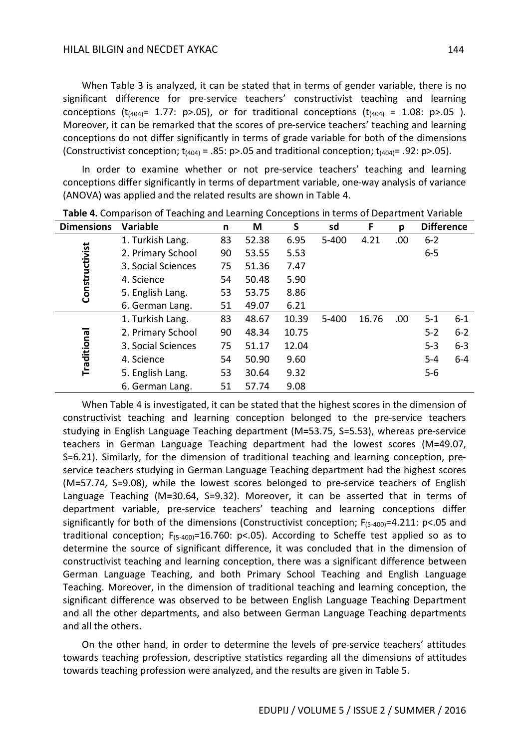When Table 3 is analyzed, it can be stated that in terms of gender variable, there is no significant difference for pre-service teachers' constructivist teaching and learning conceptions  $(t_{(404)} = 1.77: p>0.05)$ , or for traditional conceptions  $(t_{(404)} = 1.08: p>0.05)$ . Moreover, it can be remarked that the scores of pre-service teachers' teaching and learning conceptions do not differ significantly in terms of grade variable for both of the dimensions (Constructivist conception;  $t_{(404)} = .85$ : p>.05 and traditional conception;  $t_{(404)} = .92$ : p>.05).

In order to examine whether or not pre-service teachers' teaching and learning conceptions differ significantly in terms of department variable, one-way analysis of variance (ANOVA) was applied and the related results are shown in Table 4.

| <b>Dimensions</b> | <b>Variable</b>    | n  | M     | S     | sd        | F     | p    | <b>Difference</b> |         |
|-------------------|--------------------|----|-------|-------|-----------|-------|------|-------------------|---------|
|                   | 1. Turkish Lang.   | 83 | 52.38 | 6.95  | $5 - 400$ | 4.21  | .00. | $6 - 2$           |         |
|                   | 2. Primary School  | 90 | 53.55 | 5.53  |           |       |      | $6 - 5$           |         |
|                   | 3. Social Sciences | 75 | 51.36 | 7.47  |           |       |      |                   |         |
|                   | 4. Science         | 54 | 50.48 | 5.90  |           |       |      |                   |         |
| Constructivist    | 5. English Lang.   | 53 | 53.75 | 8.86  |           |       |      |                   |         |
|                   | 6. German Lang.    | 51 | 49.07 | 6.21  |           |       |      |                   |         |
| Traditional       | 1. Turkish Lang.   | 83 | 48.67 | 10.39 | $5 - 400$ | 16.76 | .00  | $5 - 1$           | $6 - 1$ |
|                   | 2. Primary School  | 90 | 48.34 | 10.75 |           |       |      | $5 - 2$           | $6 - 2$ |
|                   | 3. Social Sciences | 75 | 51.17 | 12.04 |           |       |      | $5 - 3$           | $6 - 3$ |
|                   | 4. Science         | 54 | 50.90 | 9.60  |           |       |      | $5-4$             | $6 - 4$ |
|                   | 5. English Lang.   | 53 | 30.64 | 9.32  |           |       |      | $5-6$             |         |
|                   | 6. German Lang.    | 51 | 57.74 | 9.08  |           |       |      |                   |         |

**Table 4.** Comparison of Teaching and Learning Conceptions in terms of Department Variable

When Table 4 is investigated, it can be stated that the highest scores in the dimension of constructivist teaching and learning conception belonged to the pre-service teachers studying in English Language Teaching department (M**=**53.75, S=5.53), whereas pre-service teachers in German Language Teaching department had the lowest scores (M**=**49.07, S=6.21). Similarly, for the dimension of traditional teaching and learning conception, preservice teachers studying in German Language Teaching department had the highest scores (M**=**57.74, S=9.08), while the lowest scores belonged to pre-service teachers of English Language Teaching (M**=**30.64, S=9.32). Moreover, it can be asserted that in terms of department variable, pre-service teachers' teaching and learning conceptions differ significantly for both of the dimensions (Constructivist conception;  $F_{(5-400)}=4.211$ : p<.05 and traditional conception;  $F_{(5-400)}=16.760$ : p<.05). According to Scheffe test applied so as to determine the source of significant difference, it was concluded that in the dimension of constructivist teaching and learning conception, there was a significant difference between German Language Teaching, and both Primary School Teaching and English Language Teaching. Moreover, in the dimension of traditional teaching and learning conception, the significant difference was observed to be between English Language Teaching Department and all the other departments, and also between German Language Teaching departments and all the others.

On the other hand, in order to determine the levels of pre-service teachers' attitudes towards teaching profession, descriptive statistics regarding all the dimensions of attitudes towards teaching profession were analyzed, and the results are given in Table 5.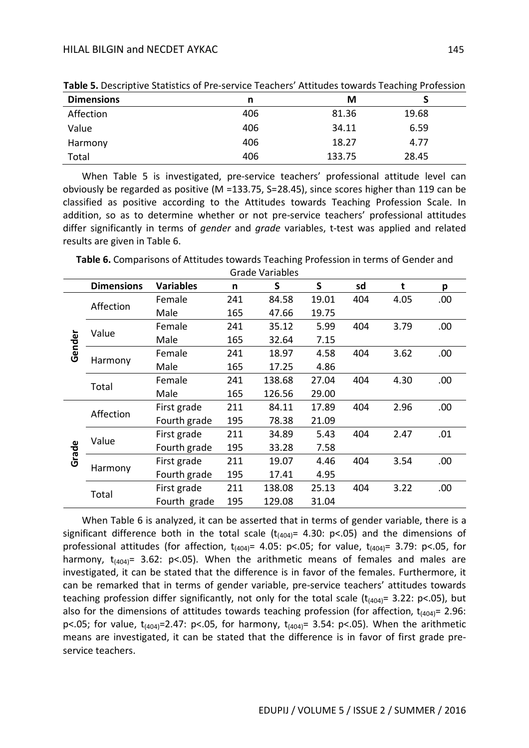| <b>Dimensions</b> | n   | М      |       |  |
|-------------------|-----|--------|-------|--|
| Affection         | 406 | 81.36  | 19.68 |  |
| Value             | 406 | 34.11  | 6.59  |  |
| Harmony           | 406 | 18.27  | 4.77  |  |
| Total             | 406 | 133.75 | 28.45 |  |

**Table 5.** Descriptive Statistics of Pre-service Teachers' Attitudes towards Teaching Profession

When Table 5 is investigated, pre-service teachers' professional attitude level can obviously be regarded as positive (M =133.75, S=28.45), since scores higher than 119 can be classified as positive according to the Attitudes towards Teaching Profession Scale. In addition, so as to determine whether or not pre-service teachers' professional attitudes differ significantly in terms of *gender* and *grade* variables, t-test was applied and related results are given in Table 6.

**Table 6.** Comparisons of Attitudes towards Teaching Profession in terms of Gender and

|        | <b>Dimensions</b> | <b>Variables</b> | n   | S      | S     | sd  | t    | p    |
|--------|-------------------|------------------|-----|--------|-------|-----|------|------|
|        |                   | Female           | 241 | 84.58  | 19.01 | 404 | 4.05 | .00. |
|        | Affection         | Male             | 165 | 47.66  | 19.75 |     |      |      |
|        | Value             | Female           | 241 | 35.12  | 5.99  | 404 | 3.79 | .00  |
|        |                   | Male             | 165 | 32.64  | 7.15  |     |      |      |
| Gender |                   | Female           | 241 | 18.97  | 4.58  | 404 | 3.62 | .00. |
|        | Harmony           | Male             | 165 | 17.25  | 4.86  |     |      |      |
|        | Total             | Female           | 241 | 138.68 | 27.04 | 404 | 4.30 | .00. |
|        |                   | Male             | 165 | 126.56 | 29.00 |     |      |      |
|        | Affection         | First grade      | 211 | 84.11  | 17.89 | 404 | 2.96 | .00. |
|        |                   | Fourth grade     | 195 | 78.38  | 21.09 |     |      |      |
|        | Value             | First grade      | 211 | 34.89  | 5.43  | 404 | 2.47 | .01  |
| Grade  |                   | Fourth grade     | 195 | 33.28  | 7.58  |     |      |      |
|        | Harmony           | First grade      | 211 | 19.07  | 4.46  | 404 | 3.54 | .00. |
|        |                   | Fourth grade     | 195 | 17.41  | 4.95  |     |      |      |
|        | Total             | First grade      | 211 | 138.08 | 25.13 | 404 | 3.22 | .00. |
|        |                   | Fourth grade     | 195 | 129.08 | 31.04 |     |      |      |

When Table 6 is analyzed, it can be asserted that in terms of gender variable, there is a significant difference both in the total scale  $(t_{(404)}= 4.30: p<0.05)$  and the dimensions of professional attitudes (for affection,  $t_{(404)} = 4.05$ : p<.05; for value,  $t_{(404)} = 3.79$ : p<.05, for harmony,  $t_{(404)} = 3.62$ : p<.05). When the arithmetic means of females and males are investigated, it can be stated that the difference is in favor of the females. Furthermore, it can be remarked that in terms of gender variable, pre-service teachers' attitudes towards teaching profession differ significantly, not only for the total scale  $(t_{(404)} = 3.22: p<.05)$ , but also for the dimensions of attitudes towards teaching profession (for affection,  $t_{(404)} = 2.96$ : p<.05; for value,  $t_{(404)}=2.47$ : p<.05, for harmony,  $t_{(404)}=3.54$ : p<.05). When the arithmetic means are investigated, it can be stated that the difference is in favor of first grade preservice teachers.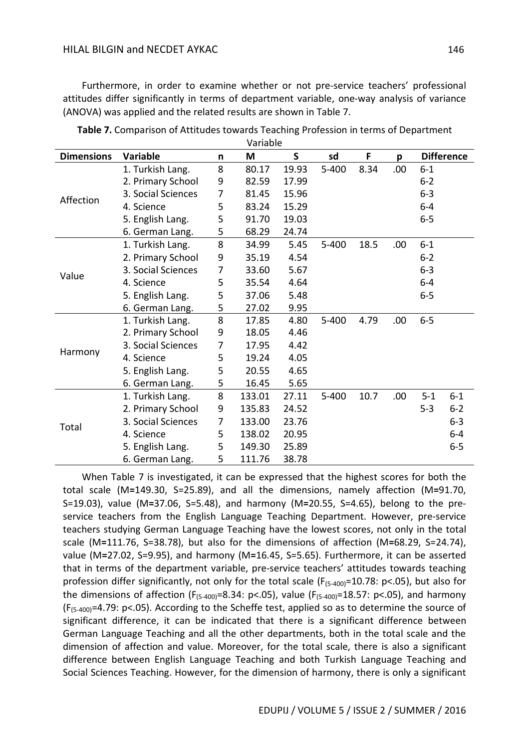Furthermore, in order to examine whether or not pre-service teachers' professional attitudes differ significantly in terms of department variable, one-way analysis of variance (ANOVA) was applied and the related results are shown in Table 7.

|                   |                    |   | vanavie |              |           |      |      |         |                   |
|-------------------|--------------------|---|---------|--------------|-----------|------|------|---------|-------------------|
| <b>Dimensions</b> | <b>Variable</b>    | n | M       | $\mathsf{S}$ | sd        | F    | p    |         | <b>Difference</b> |
|                   | 1. Turkish Lang.   | 8 | 80.17   | 19.93        | $5 - 400$ | 8.34 | .00  | $6 - 1$ |                   |
|                   | 2. Primary School  | 9 | 82.59   | 17.99        |           |      |      | $6 - 2$ |                   |
| Affection         | 3. Social Sciences | 7 | 81.45   | 15.96        |           |      |      | $6 - 3$ |                   |
|                   | 4. Science         | 5 | 83.24   | 15.29        |           |      |      | $6 - 4$ |                   |
|                   | 5. English Lang.   | 5 | 91.70   | 19.03        |           |      |      | $6 - 5$ |                   |
|                   | 6. German Lang.    | 5 | 68.29   | 24.74        |           |      |      |         |                   |
|                   | 1. Turkish Lang.   | 8 | 34.99   | 5.45         | $5 - 400$ | 18.5 | .00. | $6 - 1$ |                   |
| Value             | 2. Primary School  | 9 | 35.19   | 4.54         |           |      |      | $6 - 2$ |                   |
|                   | 3. Social Sciences | 7 | 33.60   | 5.67         |           |      |      | $6 - 3$ |                   |
|                   | 4. Science         | 5 | 35.54   | 4.64         |           |      |      | $6 - 4$ |                   |
|                   | 5. English Lang.   | 5 | 37.06   | 5.48         |           |      |      | $6 - 5$ |                   |
|                   | 6. German Lang.    | 5 | 27.02   | 9.95         |           |      |      |         |                   |
|                   | 1. Turkish Lang.   | 8 | 17.85   | 4.80         | $5 - 400$ | 4.79 | .00  | $6-5$   |                   |
|                   | 2. Primary School  | 9 | 18.05   | 4.46         |           |      |      |         |                   |
|                   | 3. Social Sciences | 7 | 17.95   | 4.42         |           |      |      |         |                   |
| Harmony           | 4. Science         | 5 | 19.24   | 4.05         |           |      |      |         |                   |
|                   | 5. English Lang.   | 5 | 20.55   | 4.65         |           |      |      |         |                   |
|                   | 6. German Lang.    | 5 | 16.45   | 5.65         |           |      |      |         |                   |
|                   | 1. Turkish Lang.   | 8 | 133.01  | 27.11        | $5 - 400$ | 10.7 | .00  | $5 - 1$ | $6-1$             |
|                   | 2. Primary School  | 9 | 135.83  | 24.52        |           |      |      | $5 - 3$ | $6 - 2$           |
| Total             | 3. Social Sciences | 7 | 133.00  | 23.76        |           |      |      |         | $6 - 3$           |
|                   | 4. Science         | 5 | 138.02  | 20.95        |           |      |      |         | $6 - 4$           |
|                   | 5. English Lang.   | 5 | 149.30  | 25.89        |           |      |      |         | $6 - 5$           |
|                   | 6. German Lang.    | 5 | 111.76  | 38.78        |           |      |      |         |                   |

**Table 7.** Comparison of Attitudes towards Teaching Profession in terms of Department Variable

When Table 7 is investigated, it can be expressed that the highest scores for both the total scale (M**=**149.30, S=25.89), and all the dimensions, namely affection (M**=**91.70, S=19.03), value (M**=**37.06, S=5.48), and harmony (M**=**20.55, S=4.65), belong to the preservice teachers from the English Language Teaching Department. However, pre-service teachers studying German Language Teaching have the lowest scores, not only in the total scale (M**=**111.76, S=38.78), but also for the dimensions of affection (M**=**68.29, S=24.74), value (M**=**27.02, S=9.95), and harmony (M**=**16.45, S=5.65). Furthermore, it can be asserted that in terms of the department variable, pre-service teachers' attitudes towards teaching profession differ significantly, not only for the total scale ( $F_{(5-400)}$ =10.78: p<.05), but also for the dimensions of affection ( $F_{(5-400)}=8.34$ : p<.05), value ( $F_{(5-400)}=18.57$ : p<.05), and harmony  $(F_{(5-400)}=4.79: p<.05)$ . According to the Scheffe test, applied so as to determine the source of significant difference, it can be indicated that there is a significant difference between German Language Teaching and all the other departments, both in the total scale and the dimension of affection and value. Moreover, for the total scale, there is also a significant difference between English Language Teaching and both Turkish Language Teaching and Social Sciences Teaching. However, for the dimension of harmony, there is only a significant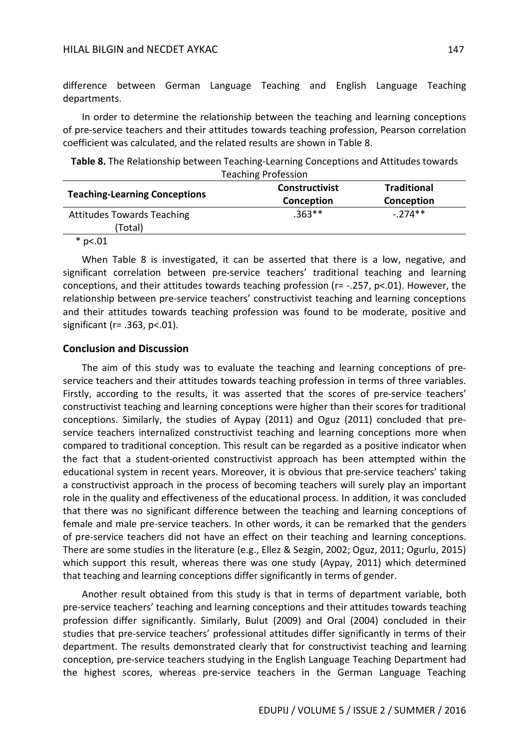difference between German Language Teaching and English Language Teaching departments.

In order to determine the relationship between the teaching and learning conceptions of pre-service teachers and their attitudes towards teaching profession, Pearson correlation coefficient was calculated, and the related results are shown in Table 8.

| Table 8. The Relationship between Teaching-Learning Conceptions and Attitudes towards |
|---------------------------------------------------------------------------------------|
| <b>Teaching Profession</b>                                                            |

| <b>Teaching-Learning Conceptions</b> | <b>Constructivist</b><br>Conception | <b>Traditional</b><br>Conception |  |
|--------------------------------------|-------------------------------------|----------------------------------|--|
| <b>Attitudes Towards Teaching</b>    | $.363**$                            | $-.274**$                        |  |
| (Total)                              |                                     |                                  |  |
| $*$ p<.01                            |                                     |                                  |  |

When Table 8 is investigated, it can be asserted that there is a low, negative, and significant correlation between pre-service teachers' traditional teaching and learning conceptions, and their attitudes towards teaching profession (r= -.257, p<.01). However, the relationship between pre-service teachers' constructivist teaching and learning conceptions and their attitudes towards teaching profession was found to be moderate, positive and significant (r= .363, p<.01).

### **Conclusion and Discussion**

The aim of this study was to evaluate the teaching and learning conceptions of preservice teachers and their attitudes towards teaching profession in terms of three variables. Firstly, according to the results, it was asserted that the scores of pre-service teachers' constructivist teaching and learning conceptions were higher than their scores for traditional conceptions. Similarly, the studies of Aypay (2011) and Oguz (2011) concluded that preservice teachers internalized constructivist teaching and learning conceptions more when compared to traditional conception. This result can be regarded as a positive indicator when the fact that a student-oriented constructivist approach has been attempted within the educational system in recent years. Moreover, it is obvious that pre-service teachers' taking a constructivist approach in the process of becoming teachers will surely play an important role in the quality and effectiveness of the educational process. In addition, it was concluded that there was no significant difference between the teaching and learning conceptions of female and male pre-service teachers. In other words, it can be remarked that the genders of pre-service teachers did not have an effect on their teaching and learning conceptions. There are some studies in the literature (e.g., Ellez & Sezgin, 2002; Oguz, 2011; Ogurlu, 2015) which support this result, whereas there was one study (Aypay, 2011) which determined that teaching and learning conceptions differ significantly in terms of gender.

Another result obtained from this study is that in terms of department variable, both pre-service teachers' teaching and learning conceptions and their attitudes towards teaching profession differ significantly. Similarly, Bulut (2009) and Oral (2004) concluded in their studies that pre-service teachers' professional attitudes differ significantly in terms of their department. The results demonstrated clearly that for constructivist teaching and learning conception, pre-service teachers studying in the English Language Teaching Department had the highest scores, whereas pre-service teachers in the German Language Teaching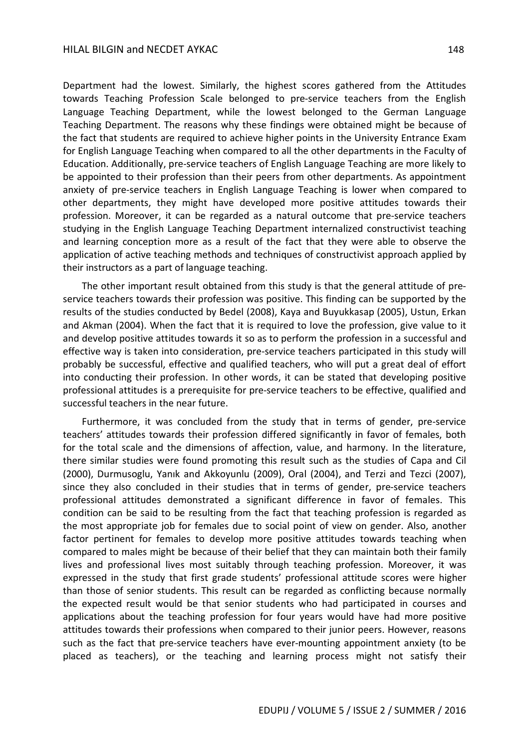Department had the lowest. Similarly, the highest scores gathered from the Attitudes towards Teaching Profession Scale belonged to pre-service teachers from the English Language Teaching Department, while the lowest belonged to the German Language Teaching Department. The reasons why these findings were obtained might be because of the fact that students are required to achieve higher points in the University Entrance Exam for English Language Teaching when compared to all the other departments in the Faculty of Education. Additionally, pre-service teachers of English Language Teaching are more likely to be appointed to their profession than their peers from other departments. As appointment anxiety of pre-service teachers in English Language Teaching is lower when compared to other departments, they might have developed more positive attitudes towards their profession. Moreover, it can be regarded as a natural outcome that pre-service teachers

studying in the English Language Teaching Department internalized constructivist teaching and learning conception more as a result of the fact that they were able to observe the application of active teaching methods and techniques of constructivist approach applied by their instructors as a part of language teaching.

The other important result obtained from this study is that the general attitude of preservice teachers towards their profession was positive. This finding can be supported by the results of the studies conducted by Bedel (2008), Kaya and Buyukkasap (2005), Ustun, Erkan and Akman (2004). When the fact that it is required to love the profession, give value to it and develop positive attitudes towards it so as to perform the profession in a successful and effective way is taken into consideration, pre-service teachers participated in this study will probably be successful, effective and qualified teachers, who will put a great deal of effort into conducting their profession. In other words, it can be stated that developing positive professional attitudes is a prerequisite for pre-service teachers to be effective, qualified and successful teachers in the near future.

Furthermore, it was concluded from the study that in terms of gender, pre-service teachers' attitudes towards their profession differed significantly in favor of females, both for the total scale and the dimensions of affection, value, and harmony. In the literature, there similar studies were found promoting this result such as the studies of Capa and Cil (2000), Durmusoglu, Yanık and Akkoyunlu (2009), Oral (2004), and Terzi and Tezci (2007), since they also concluded in their studies that in terms of gender, pre-service teachers professional attitudes demonstrated a significant difference in favor of females. This condition can be said to be resulting from the fact that teaching profession is regarded as the most appropriate job for females due to social point of view on gender. Also, another factor pertinent for females to develop more positive attitudes towards teaching when compared to males might be because of their belief that they can maintain both their family lives and professional lives most suitably through teaching profession. Moreover, it was expressed in the study that first grade students' professional attitude scores were higher than those of senior students. This result can be regarded as conflicting because normally the expected result would be that senior students who had participated in courses and applications about the teaching profession for four years would have had more positive attitudes towards their professions when compared to their junior peers. However, reasons such as the fact that pre-service teachers have ever-mounting appointment anxiety (to be placed as teachers), or the teaching and learning process might not satisfy their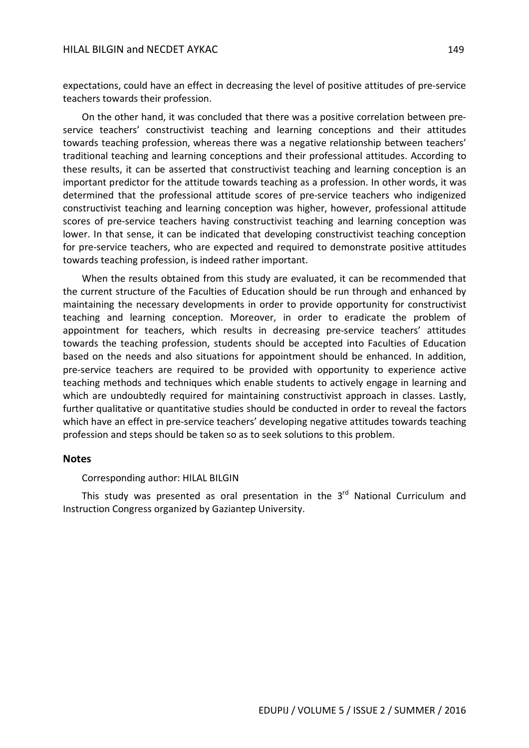#### HILAL BILGIN and NECDET AYKAC 149

expectations, could have an effect in decreasing the level of positive attitudes of pre-service teachers towards their profession.

On the other hand, it was concluded that there was a positive correlation between preservice teachers' constructivist teaching and learning conceptions and their attitudes towards teaching profession, whereas there was a negative relationship between teachers' traditional teaching and learning conceptions and their professional attitudes. According to these results, it can be asserted that constructivist teaching and learning conception is an important predictor for the attitude towards teaching as a profession. In other words, it was determined that the professional attitude scores of pre-service teachers who indigenized constructivist teaching and learning conception was higher, however, professional attitude scores of pre-service teachers having constructivist teaching and learning conception was lower. In that sense, it can be indicated that developing constructivist teaching conception for pre-service teachers, who are expected and required to demonstrate positive attitudes towards teaching profession, is indeed rather important.

When the results obtained from this study are evaluated, it can be recommended that the current structure of the Faculties of Education should be run through and enhanced by maintaining the necessary developments in order to provide opportunity for constructivist teaching and learning conception. Moreover, in order to eradicate the problem of appointment for teachers, which results in decreasing pre-service teachers' attitudes towards the teaching profession, students should be accepted into Faculties of Education based on the needs and also situations for appointment should be enhanced. In addition, pre-service teachers are required to be provided with opportunity to experience active teaching methods and techniques which enable students to actively engage in learning and which are undoubtedly required for maintaining constructivist approach in classes. Lastly, further qualitative or quantitative studies should be conducted in order to reveal the factors which have an effect in pre-service teachers' developing negative attitudes towards teaching profession and steps should be taken so as to seek solutions to this problem.

#### **Notes**

Corresponding author: HILAL BILGIN

This study was presented as oral presentation in the  $3<sup>rd</sup>$  National Curriculum and Instruction Congress organized by Gaziantep University.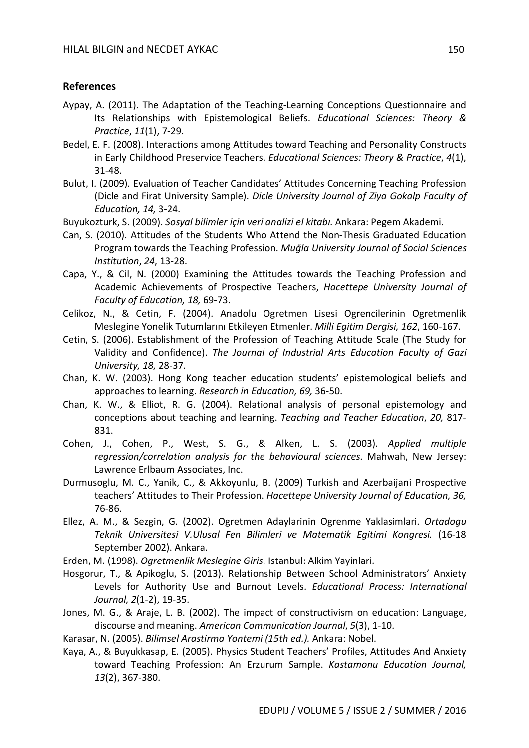## **References**

- Aypay, A. (2011). The Adaptation of the Teaching-Learning Conceptions Questionnaire and Its Relationships with Epistemological Beliefs. *Educational Sciences: Theory & Practice*, *11*(1), 7-29.
- Bedel, E. F. (2008). Interactions among Attitudes toward Teaching and Personality Constructs in Early Childhood Preservice Teachers. *Educational Sciences: Theory & Practice*, *4*(1), 31-48.
- Bulut, I. (2009). Evaluation of Teacher Candidates' Attitudes Concerning Teaching Profession (Dicle and Firat University Sample). *Dicle University Journal of Ziya Gokalp Faculty of Education, 14,* 3-24.
- Buyukozturk, S. (2009). *Sosyal bilimler için veri analizi el kitabı.* Ankara: Pegem Akademi.
- Can, S. (2010). Attitudes of the Students Who Attend the Non-Thesis Graduated Education Program towards the Teaching Profession. *Muğla University Journal of Social Sciences Institution*, *24*, 13-28.
- Capa, Y., & Cil, N. (2000) Examining the Attitudes towards the Teaching Profession and Academic Achievements of Prospective Teachers, *Hacettepe University Journal of Faculty of Education, 18,* 69-73.
- Celikoz, N., & Cetin, F. (2004). Anadolu Ogretmen Lisesi Ogrencilerinin Ogretmenlik Meslegine Yonelik Tutumlarını Etkileyen Etmenler. *Milli Egitim Dergisi, 162*, 160-167.
- Cetin, S. (2006). Establishment of the Profession of Teaching Attitude Scale (The Study for Validity and Confidence). *The Journal of Industrial Arts Education Faculty of Gazi University, 18,* 28-37.
- Chan, K. W. (2003). Hong Kong teacher education students' epistemological beliefs and approaches to learning. *Research in Education, 69,* 36-50.
- Chan, K. W., & Elliot, R. G. (2004). Relational analysis of personal epistemology and conceptions about teaching and learning. *Teaching and Teacher Education*, *20,* 817- 831.
- Cohen, J., Cohen, P., West, S. G., & Alken, L. S. (2003). *Applied multiple regression/correlation analysis for the behavioural sciences*. Mahwah, New Jersey: Lawrence Erlbaum Associates, Inc.
- Durmusoglu, M. C., Yanik, C., & Akkoyunlu, B. (2009) Turkish and Azerbaijani Prospective teachers' Attitudes to Their Profession. *Hacettepe University Journal of Education, 36,* 76-86.
- Ellez, A. M., & Sezgin, G. (2002). Ogretmen Adaylarinin Ogrenme Yaklasimlari. *Ortadogu Teknik Universitesi V.Ulusal Fen Bilimleri ve Matematik Egitimi Kongresi.* (16-18 September 2002). Ankara.
- Erden, M. (1998). *Ogretmenlik Meslegine Giris*. Istanbul: Alkim Yayinlari.
- Hosgorur, T., & Apikoglu, S. (2013). Relationship Between School Administrators' Anxiety Levels for Authority Use and Burnout Levels. *Educational Process: International Journal, 2*(1-2), 19-35.
- Jones, M. G., & Araje, L. B. (2002). The impact of constructivism on education: Language, discourse and meaning. *American Communication Journal*, *5*(3), 1-10.
- Karasar, N. (2005). *Bilimsel Arastirma Yontemi (15th ed.).* Ankara: Nobel.
- Kaya, A., & Buyukkasap, E. (2005). Physics Student Teachers' Profiles, Attitudes And Anxiety toward Teaching Profession: An Erzurum Sample. *Kastamonu Education Journal, 13*(2), 367-380.